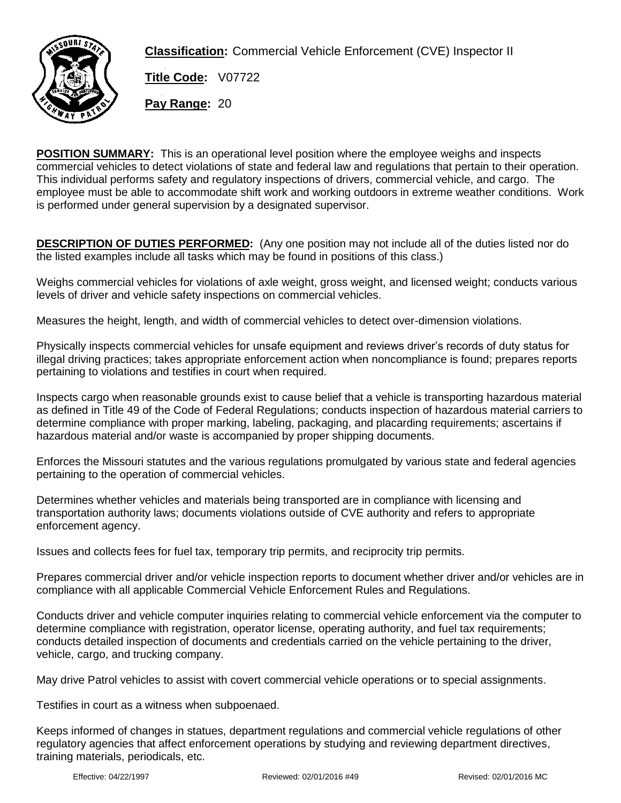

**Classification:** Commercial Vehicle Enforcement (CVE) Inspector II

**Title Code:**  $\sqrt{07722}$ **Pay Range: 20** 

**POSITION SUMMARY:** This is an operational level position where the employee weighs and inspects commercial vehicles to detect violations of state and federal law and regulations that pertain to their operation. This individual performs safety and regulatory inspections of drivers, commercial vehicle, and cargo. The employee must be able to accommodate shift work and working outdoors in extreme weather conditions. Work is performed under general supervision by a designated supervisor.

**DESCRIPTION OF DUTIES PERFORMED:** (Any one position may not include all of the duties listed nor do the listed examples include all tasks which may be found in positions of this class.)

Weighs commercial vehicles for violations of axle weight, gross weight, and licensed weight; conducts various levels of driver and vehicle safety inspections on commercial vehicles.

Measures the height, length, and width of commercial vehicles to detect over-dimension violations.

Physically inspects commercial vehicles for unsafe equipment and reviews driver's records of duty status for illegal driving practices; takes appropriate enforcement action when noncompliance is found; prepares reports pertaining to violations and testifies in court when required.

Inspects cargo when reasonable grounds exist to cause belief that a vehicle is transporting hazardous material as defined in Title 49 of the Code of Federal Regulations; conducts inspection of hazardous material carriers to determine compliance with proper marking, labeling, packaging, and placarding requirements; ascertains if hazardous material and/or waste is accompanied by proper shipping documents.

Enforces the Missouri statutes and the various regulations promulgated by various state and federal agencies pertaining to the operation of commercial vehicles.

Determines whether vehicles and materials being transported are in compliance with licensing and transportation authority laws; documents violations outside of CVE authority and refers to appropriate enforcement agency.

Issues and collects fees for fuel tax, temporary trip permits, and reciprocity trip permits.

Prepares commercial driver and/or vehicle inspection reports to document whether driver and/or vehicles are in compliance with all applicable Commercial Vehicle Enforcement Rules and Regulations.

Conducts driver and vehicle computer inquiries relating to commercial vehicle enforcement via the computer to determine compliance with registration, operator license, operating authority, and fuel tax requirements; conducts detailed inspection of documents and credentials carried on the vehicle pertaining to the driver, vehicle, cargo, and trucking company.

May drive Patrol vehicles to assist with covert commercial vehicle operations or to special assignments.

Testifies in court as a witness when subpoenaed.

Keeps informed of changes in statues, department regulations and commercial vehicle regulations of other regulatory agencies that affect enforcement operations by studying and reviewing department directives, training materials, periodicals, etc.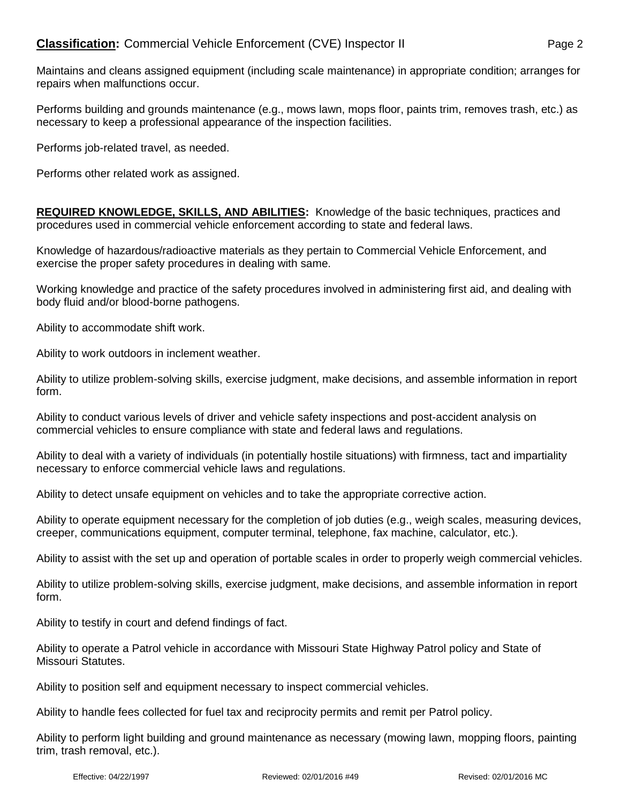Maintains and cleans assigned equipment (including scale maintenance) in appropriate condition; arranges for repairs when malfunctions occur.

Performs building and grounds maintenance (e.g., mows lawn, mops floor, paints trim, removes trash, etc.) as necessary to keep a professional appearance of the inspection facilities.

Performs job-related travel, as needed.

Performs other related work as assigned.

**REQUIRED KNOWLEDGE, SKILLS, AND ABILITIES:** Knowledge of the basic techniques, practices and procedures used in commercial vehicle enforcement according to state and federal laws.

Knowledge of hazardous/radioactive materials as they pertain to Commercial Vehicle Enforcement, and exercise the proper safety procedures in dealing with same.

Working knowledge and practice of the safety procedures involved in administering first aid, and dealing with body fluid and/or blood-borne pathogens.

Ability to accommodate shift work.

Ability to work outdoors in inclement weather.

Ability to utilize problem-solving skills, exercise judgment, make decisions, and assemble information in report form.

Ability to conduct various levels of driver and vehicle safety inspections and post-accident analysis on commercial vehicles to ensure compliance with state and federal laws and regulations.

Ability to deal with a variety of individuals (in potentially hostile situations) with firmness, tact and impartiality necessary to enforce commercial vehicle laws and regulations.

Ability to detect unsafe equipment on vehicles and to take the appropriate corrective action.

Ability to operate equipment necessary for the completion of job duties (e.g., weigh scales, measuring devices, creeper, communications equipment, computer terminal, telephone, fax machine, calculator, etc.).

Ability to assist with the set up and operation of portable scales in order to properly weigh commercial vehicles.

Ability to utilize problem-solving skills, exercise judgment, make decisions, and assemble information in report form.

Ability to testify in court and defend findings of fact.

Ability to operate a Patrol vehicle in accordance with Missouri State Highway Patrol policy and State of Missouri Statutes.

Ability to position self and equipment necessary to inspect commercial vehicles.

Ability to handle fees collected for fuel tax and reciprocity permits and remit per Patrol policy.

Ability to perform light building and ground maintenance as necessary (mowing lawn, mopping floors, painting trim, trash removal, etc.).